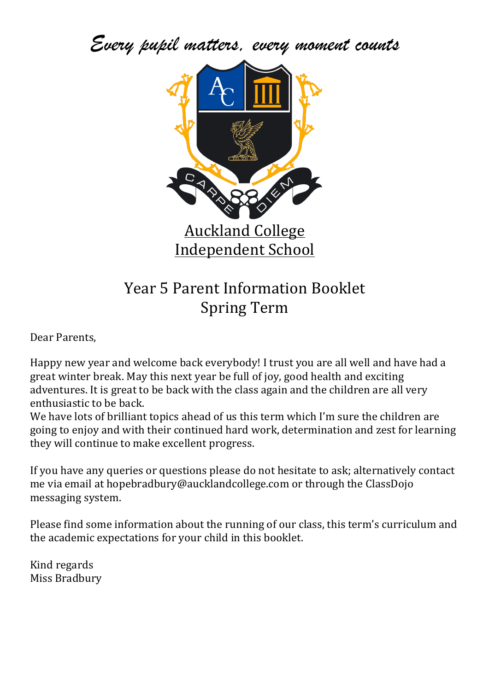*Every pupil matters, every moment counts*



# Year 5 Parent Information Booklet Spring Term

Dear Parents.

Happy new year and welcome back everybody! I trust you are all well and have had a great winter break. May this next year be full of joy, good health and exciting adventures. It is great to be back with the class again and the children are all very enthusiastic to be back.

We have lots of brilliant topics ahead of us this term which I'm sure the children are going to enjoy and with their continued hard work, determination and zest for learning they will continue to make excellent progress.

If you have any queries or questions please do not hesitate to ask; alternatively contact me via email at hopebradbury@aucklandcollege.com or through the ClassDojo messaging system.

Please find some information about the running of our class, this term's curriculum and the academic expectations for your child in this booklet.

Kind regards Miss Bradbury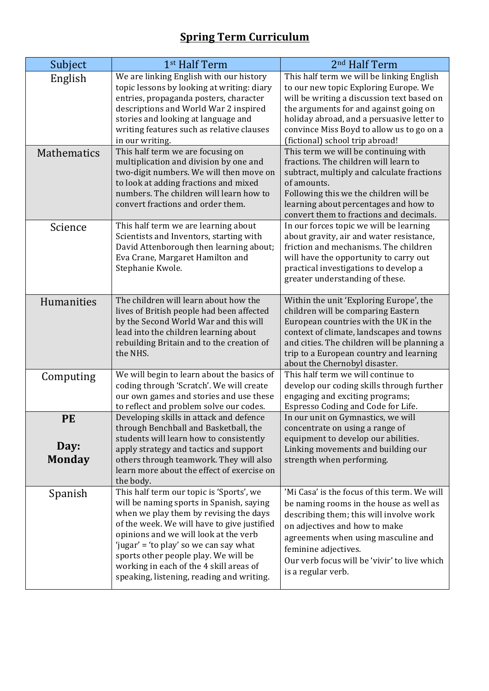# **Spring Term Curriculum**

| Subject            | 1 <sup>st</sup> Half Term                                                            | 2 <sup>nd</sup> Half Term                                                |
|--------------------|--------------------------------------------------------------------------------------|--------------------------------------------------------------------------|
| English            | We are linking English with our history                                              | This half term we will be linking English                                |
|                    | topic lessons by looking at writing: diary                                           | to our new topic Exploring Europe. We                                    |
|                    | entries, propaganda posters, character                                               | will be writing a discussion text based on                               |
|                    | descriptions and World War 2 inspired                                                | the arguments for and against going on                                   |
|                    | stories and looking at language and                                                  | holiday abroad, and a persuasive letter to                               |
|                    | writing features such as relative clauses                                            | convince Miss Boyd to allow us to go on a                                |
|                    | in our writing.                                                                      | (fictional) school trip abroad!                                          |
| <b>Mathematics</b> | This half term we are focusing on                                                    | This term we will be continuing with                                     |
|                    | multiplication and division by one and                                               | fractions. The children will learn to                                    |
|                    | two-digit numbers. We will then move on                                              | subtract, multiply and calculate fractions                               |
|                    | to look at adding fractions and mixed<br>numbers. The children will learn how to     | of amounts.<br>Following this we the children will be                    |
|                    | convert fractions and order them.                                                    | learning about percentages and how to                                    |
|                    |                                                                                      | convert them to fractions and decimals.                                  |
| Science            | This half term we are learning about                                                 | In our forces topic we will be learning                                  |
|                    | Scientists and Inventors, starting with                                              | about gravity, air and water resistance,                                 |
|                    | David Attenborough then learning about;                                              | friction and mechanisms. The children                                    |
|                    | Eva Crane, Margaret Hamilton and                                                     | will have the opportunity to carry out                                   |
|                    | Stephanie Kwole.                                                                     | practical investigations to develop a                                    |
|                    |                                                                                      | greater understanding of these.                                          |
|                    |                                                                                      |                                                                          |
| Humanities         | The children will learn about how the                                                | Within the unit 'Exploring Europe', the                                  |
|                    | lives of British people had been affected                                            | children will be comparing Eastern                                       |
|                    | by the Second World War and this will                                                | European countries with the UK in the                                    |
|                    | lead into the children learning about                                                | context of climate, landscapes and towns                                 |
|                    | rebuilding Britain and to the creation of<br>the NHS.                                | and cities. The children will be planning a                              |
|                    |                                                                                      | trip to a European country and learning<br>about the Chernobyl disaster. |
|                    | We will begin to learn about the basics of                                           | This half term we will continue to                                       |
| Computing          | coding through 'Scratch'. We will create                                             | develop our coding skills through further                                |
|                    | our own games and stories and use these                                              | engaging and exciting programs;                                          |
|                    | to reflect and problem solve our codes.                                              | Espresso Coding and Code for Life.                                       |
| <b>PE</b>          | Developing skills in attack and defence                                              | In our unit on Gymnastics, we will                                       |
|                    | through Benchball and Basketball, the                                                | concentrate on using a range of                                          |
|                    | students will learn how to consistently                                              | equipment to develop our abilities.                                      |
| Day:               | apply strategy and tactics and support                                               | Linking movements and building our                                       |
| <b>Monday</b>      | others through teamwork. They will also                                              | strength when performing.                                                |
|                    | learn more about the effect of exercise on                                           |                                                                          |
|                    | the body.                                                                            |                                                                          |
| Spanish            | This half term our topic is 'Sports', we                                             | 'Mi Casa' is the focus of this term. We will                             |
|                    | will be naming sports in Spanish, saying                                             | be naming rooms in the house as well as                                  |
|                    | when we play them by revising the days                                               | describing them; this will involve work                                  |
|                    | of the week. We will have to give justified<br>opinions and we will look at the verb | on adjectives and how to make                                            |
|                    | 'jugar' = 'to play' so we can say what                                               | agreements when using masculine and                                      |
|                    | sports other people play. We will be                                                 | feminine adjectives.                                                     |
|                    | working in each of the 4 skill areas of                                              | Our verb focus will be 'vivir' to live which                             |
|                    | speaking, listening, reading and writing.                                            | is a regular verb.                                                       |
|                    |                                                                                      |                                                                          |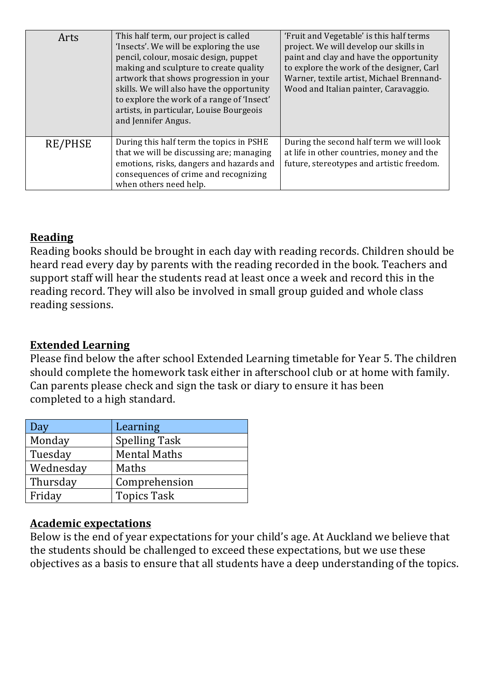| Arts           | This half term, our project is called<br>'Insects'. We will be exploring the use<br>pencil, colour, mosaic design, puppet<br>making and sculpture to create quality<br>artwork that shows progression in your<br>skills. We will also have the opportunity<br>to explore the work of a range of 'Insect'<br>artists, in particular, Louise Bourgeois<br>and Jennifer Angus. | 'Fruit and Vegetable' is this half terms<br>project. We will develop our skills in<br>paint and clay and have the opportunity<br>to explore the work of the designer, Carl<br>Warner, textile artist, Michael Brennand-<br>Wood and Italian painter, Caravaggio. |
|----------------|-----------------------------------------------------------------------------------------------------------------------------------------------------------------------------------------------------------------------------------------------------------------------------------------------------------------------------------------------------------------------------|------------------------------------------------------------------------------------------------------------------------------------------------------------------------------------------------------------------------------------------------------------------|
| <b>RE/PHSE</b> | During this half term the topics in PSHE<br>that we will be discussing are; managing<br>emotions, risks, dangers and hazards and<br>consequences of crime and recognizing<br>when others need help.                                                                                                                                                                         | During the second half term we will look<br>at life in other countries, money and the<br>future, stereotypes and artistic freedom.                                                                                                                               |

#### **Reading**

Reading books should be brought in each day with reading records. Children should be heard read every day by parents with the reading recorded in the book. Teachers and support staff will hear the students read at least once a week and record this in the reading record. They will also be involved in small group guided and whole class reading sessions.

#### **Extended Learning**

Please find below the after school Extended Learning timetable for Year 5. The children should complete the homework task either in afterschool club or at home with family. Can parents please check and sign the task or diary to ensure it has been completed to a high standard.

| Day       | Learning             |  |
|-----------|----------------------|--|
| Monday    | <b>Spelling Task</b> |  |
| Tuesday   | <b>Mental Maths</b>  |  |
| Wednesday | Maths                |  |
| Thursday  | Comprehension        |  |
| Friday    | <b>Topics Task</b>   |  |

#### **Academic expectations**

Below is the end of year expectations for your child's age. At Auckland we believe that the students should be challenged to exceed these expectations, but we use these objectives as a basis to ensure that all students have a deep understanding of the topics.